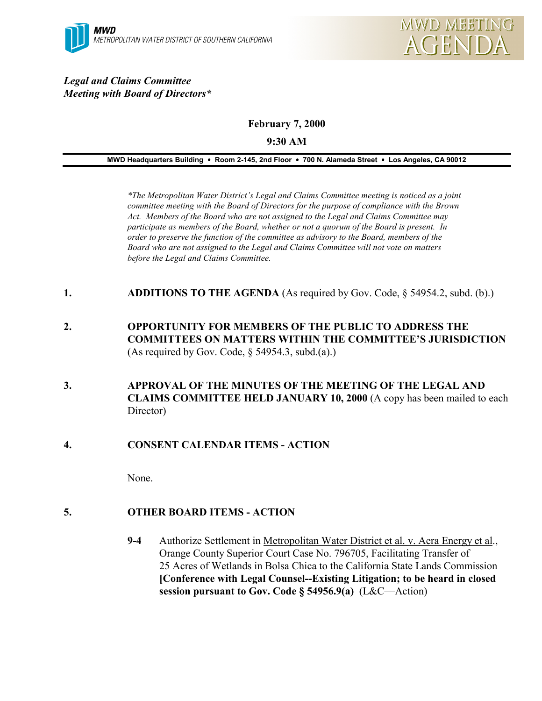#### *Legal and Claims Committee Meeting with Board of Directors\**

**February 7, 2000**

**9:30 AM**

**MWD Headquarters Building** ! **Room 2-145, 2nd Floor** ! **700 N. Alameda Street** ! **Los Angeles, CA 90012**

*\*The Metropolitan Water District's Legal and Claims Committee meeting is noticed as a joint committee meeting with the Board of Directors for the purpose of compliance with the Brown Act. Members of the Board who are not assigned to the Legal and Claims Committee may participate as members of the Board, whether or not a quorum of the Board is present. In order to preserve the function of the committee as advisory to the Board, members of the Board who are not assigned to the Legal and Claims Committee will not vote on matters before the Legal and Claims Committee.*

- **1. ADDITIONS TO THE AGENDA** (As required by Gov. Code, § 54954.2, subd. (b).)
- **2. OPPORTUNITY FOR MEMBERS OF THE PUBLIC TO ADDRESS THE COMMITTEES ON MATTERS WITHIN THE COMMITTEE'S JURISDICTION** (As required by Gov. Code,  $\S$  54954.3, subd.(a).)
- **3. APPROVAL OF THE MINUTES OF THE MEETING OF THE LEGAL AND CLAIMS COMMITTEE HELD JANUARY 10, 2000** (A copy has been mailed to each Director)
- **4. CONSENT CALENDAR ITEMS ACTION**

None.

## **5. OTHER BOARD ITEMS - ACTION**

**9-4** Authorize Settlement in Metropolitan Water District et al. v. Aera Energy et al., Orange County Superior Court Case No. 796705, Facilitating Transfer of 25 Acres of Wetlands in Bolsa Chica to the California State Lands Commission **[Conference with Legal Counsel--Existing Litigation; to be heard in closed session pursuant to Gov. Code § 54956.9(a)** (L&C—Action)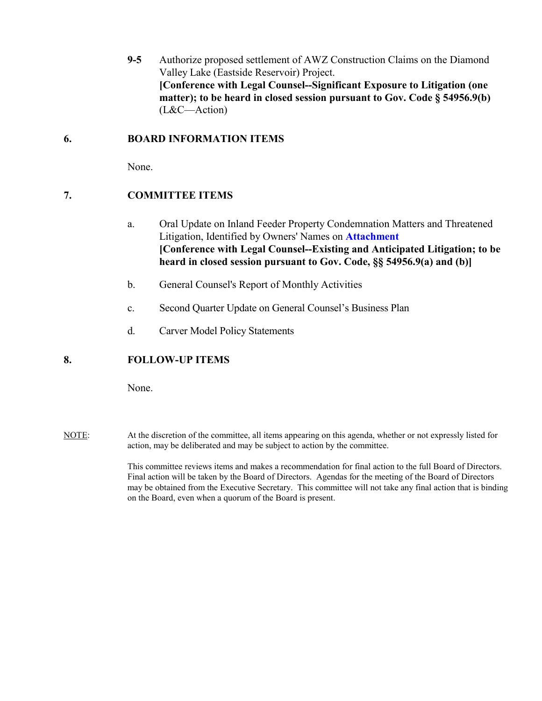**9-5** Authorize proposed settlement of AWZ Construction Claims on the Diamond Valley Lake (Eastside Reservoir) Project. **[Conference with Legal Counsel--Significant Exposure to Litigation (one matter); to be heard in closed session pursuant to Gov. Code § 54956.9(b)**  (L&C—Action)

#### **6. BOARD INFORMATION ITEMS**

None.

### **7. COMMITTEE ITEMS**

- a. Oral Update on Inland Feeder Property Condemnation Matters and Threatened Litigation, Identified by Owners' Names on **Attachment [Conference with Legal Counsel--Existing and Anticipated Litigation; to be heard in closed session pursuant to Gov. Code, §§ 54956.9(a) and (b)]**
- b. General Counsel's Report of Monthly Activities
- c. Second Quarter Update on General Counsel's Business Plan
- d. Carver Model Policy Statements

### **8. FOLLOW-UP ITEMS**

None.

NOTE: At the discretion of the committee, all items appearing on this agenda, whether or not expressly listed for action, may be deliberated and may be subject to action by the committee.

> This committee reviews items and makes a recommendation for final action to the full Board of Directors. Final action will be taken by the Board of Directors. Agendas for the meeting of the Board of Directors may be obtained from the Executive Secretary. This committee will not take any final action that is binding on the Board, even when a quorum of the Board is present.